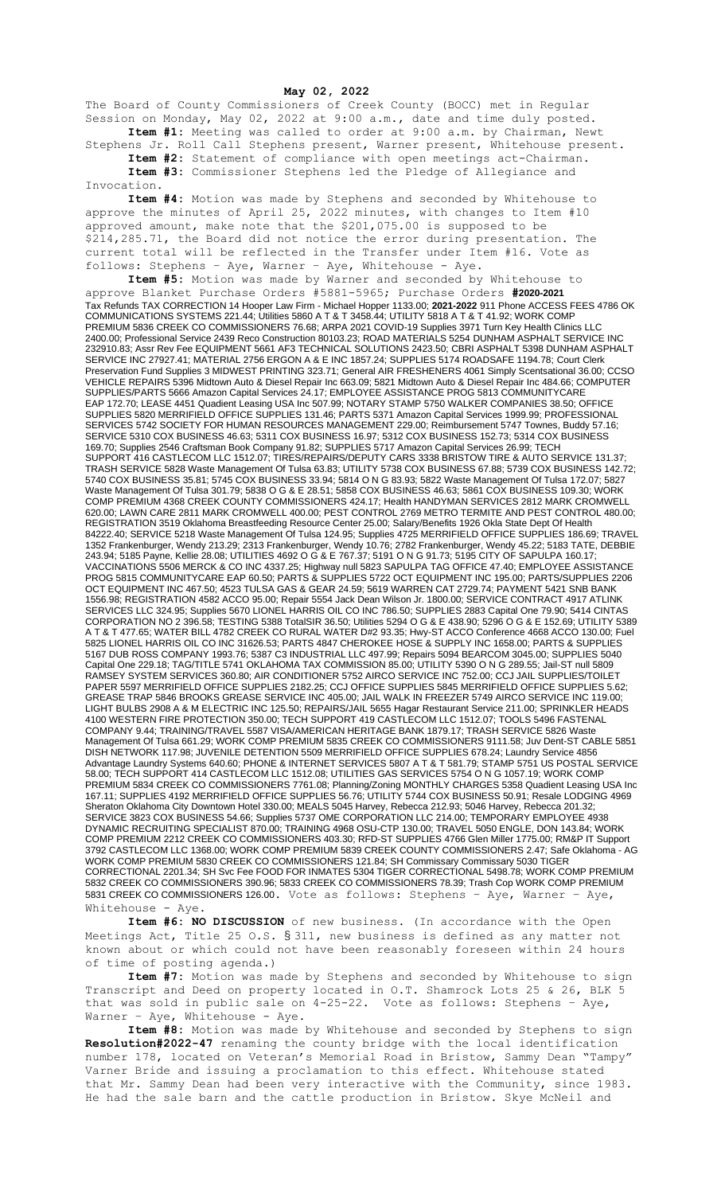**May 02, 2022**

The Board of County Commissioners of Creek County (BOCC) met in Regular Session on Monday, May 02, 2022 at 9:00 a.m., date and time duly posted. **Item #1:** Meeting was called to order at 9:00 a.m. by Chairman, Newt

Stephens Jr. Roll Call Stephens present, Warner present, Whitehouse present. **Item #2:** Statement of compliance with open meetings act-Chairman. **Item #3:** Commissioner Stephens led the Pledge of Allegiance and

Invocation.

**Item #4:** Motion was made by Stephens and seconded by Whitehouse to approve the minutes of April 25, 2022 minutes, with changes to Item #10 approved amount, make note that the \$201,075.00 is supposed to be \$214,285.71, the Board did not notice the error during presentation. The current total will be reflected in the Transfer under Item #16. Vote as follows: Stephens – Aye, Warner – Aye, Whitehouse - Aye.

**Item #5:** Motion was made by Warner and seconded by Whitehouse to approve Blanket Purchase Orders #5881-5965; Purchase Orders **#2020-2021** Tax Refunds TAX CORRECTION 14 Hooper Law Firm - Michael Hopper 1133.00; **2021-2022** 911 Phone ACCESS FEES 4786 OK COMMUNICATIONS SYSTEMS 221.44; Utilities 5860 A T & T 3458.44; UTILITY 5818 A T & T 41.92; WORK COMP PREMIUM 5836 CREEK CO COMMISSIONERS 76.68; ARPA 2021 COVID-19 Supplies 3971 Turn Key Health Clinics LLC 2400.00; Professional Service 2439 Reco Construction 80103.23; ROAD MATERIALS 5254 DUNHAM ASPHALT SERVICE INC 232910.83; Assr Rev Fee EQUIPMENT 5661 AF3 TECHNICAL SOLUTIONS 2423.50; CBRI ASPHALT 5398 DUNHAM ASPHALT SERVICE INC 27927.41; MATERIAL 2756 ERGON A & E INC 1857.24; SUPPLIES 5174 ROADSAFE 1194.78; Court Clerk Preservation Fund Supplies 3 MIDWEST PRINTING 323.71; General AIR FRESHENERS 4061 Simply Scentsational 36.00; CCSO VEHICLE REPAIRS 5396 Midtown Auto & Diesel Repair Inc 663.09; 5821 Midtown Auto & Diesel Repair Inc 484.66; COMPUTER SUPPLIES/PARTS 5666 Amazon Capital Services 24.17; EMPLOYEE ASSISTANCE PROG 5813 COMMUNITYCARE EAP 172.70; LEASE 4451 Quadient Leasing USA Inc 507.99; NOTARY STAMP 5750 WALKER COMPANIES 38.50; OFFICE SUPPLIES 5820 MERRIFIELD OFFICE SUPPLIES 131.46; PARTS 5371 Amazon Capital Services 1999.99; PROFESSIONAL SERVICES 5742 SOCIETY FOR HUMAN RESOURCES MANAGEMENT 229.00; Reimbursement 5747 Townes, Buddy 57.16; SERVICE 5310 COX BUSINESS 46.63; 5311 COX BUSINESS 16.97; 5312 COX BUSINESS 152.73; 5314 COX BUSINESS 169.70; Supplies 2546 Craftsman Book Company 91.82; SUPPLIES 5717 Amazon Capital Services 26.99; TECH SUPPORT 416 CASTLECOM LLC 1512.07; TIRES/REPAIRS/DEPUTY CARS 3338 BRISTOW TIRE & AUTO SERVICE 131.37; TRASH SERVICE 5828 Waste Management Of Tulsa 63.83; UTILITY 5738 COX BUSINESS 67.88; 5739 COX BUSINESS 142.72; 5740 COX BUSINESS 35.81; 5745 COX BUSINESS 33.94; 5814 O N G 83.93; 5822 Waste Management Of Tulsa 172.07; 5827 Waste Management Of Tulsa 301.79; 5838 O G & E 28.51; 5858 COX BUSINESS 46.63; 5861 COX BUSINESS 109.30; WORK COMP PREMIUM 4368 CREEK COUNTY COMMISSIONERS 424.17; Health HANDYMAN SERVICES 2812 MARK CROMWELL 620.00; LAWN CARE 2811 MARK CROMWELL 400.00; PEST CONTROL 2769 METRO TERMITE AND PEST CONTROL 480.00; REGISTRATION 3519 Oklahoma Breastfeeding Resource Center 25.00; Salary/Benefits 1926 Okla State Dept Of Health 84222.40; SERVICE 5218 Waste Management Of Tulsa 124.95; Supplies 4725 MERRIFIELD OFFICE SUPPLIES 186.69; TRAVEL 1352 Frankenburger, Wendy 213.29; 2313 Frankenburger, Wendy 10.76; 2782 Frankenburger, Wendy 45.22; 5183 TATE, DEBBIE 243.94; 5185 Payne, Kellie 28.08; UTILITIES 4692 O G & E 767.37; 5191 O N G 91.73; 5195 CITY OF SAPULPA 160.17; VACCINATIONS 5506 MERCK & CO INC 4337.25; Highway null 5823 SAPULPA TAG OFFICE 47.40; EMPLOYEE ASSISTANCE PROG 5815 COMMUNITYCARE EAP 60.50; PARTS & SUPPLIES 5722 OCT EQUIPMENT INC 195.00; PARTS/SUPPLIES 2206 OCT EQUIPMENT INC 467.50; 4523 TULSA GAS & GEAR 24.59; 5619 WARREN CAT 2729.74; PAYMENT 5421 SNB BANK 1556.98; REGISTRATION 4582 ACCO 95.00; Repair 5554 Jack Dean Wilson Jr. 1800.00; SERVICE CONTRACT 4917 ATLINK SERVICES LLC 324.95; Supplies 5670 LIONEL HARRIS OIL CO INC 786.50; SUPPLIES 2883 Capital One 79.90; 5414 CINTAS CORPORATION NO 2 396.58; TESTING 5388 TotalSIR 36.50; Utilities 5294 O G & E 438.90; 5296 O G & E 152.69; UTILITY 5389 A T & T 477.65; WATER BILL 4782 CREEK CO RURAL WATER D#2 93.35; Hwy-ST ACCO Conference 4668 ACCO 130.00; Fuel 5825 LIONEL HARRIS OIL CO INC 31626.53; PARTS 4847 CHEROKEE HOSE & SUPPLY INC 1658.00; PARTS & SUPPLIES 5167 DUB ROSS COMPANY 1993.76; 5387 C3 INDUSTRIAL LLC 497.99; Repairs 5094 BEARCOM 3045.00; SUPPLIES 5040 Capital One 229.18; TAG/TITLE 5741 OKLAHOMA TAX COMMISSION 85.00; UTILITY 5390 O N G 289.55; Jail-ST null 5809 RAMSEY SYSTEM SERVICES 360.80; AIR CONDITIONER 5752 AIRCO SERVICE INC 752.00; CCJ JAIL SUPPLIES/TOILET PAPER 5597 MERRIFIELD OFFICE SUPPLIES 2182.25; CCJ OFFICE SUPPLIES 5845 MERRIFIELD OFFICE SUPPLIES 5.62; GREASE TRAP 5846 BROOKS GREASE SERVICE INC 405.00; JAIL WALK IN FREEZER 5749 AIRCO SERVICE INC 119.00; LIGHT BULBS 2908 A & M ELECTRIC INC 125.50; REPAIRS/JAIL 5655 Hagar Restaurant Service 211.00; SPRINKLER HEADS 4100 WESTERN FIRE PROTECTION 350.00; TECH SUPPORT 419 CASTLECOM LLC 1512.07; TOOLS 5496 FASTENAL COMPANY 9.44; TRAINING/TRAVEL 5587 VISA/AMERICAN HERITAGE BANK 1879.17; TRASH SERVICE 5826 Waste Management Of Tulsa 661.29; WORK COMP PREMIUM 5835 CREEK CO COMMISSIONERS 9111.58; Juv Dent-ST CABLE 5851 DISH NETWORK 117.98; JUVENILE DETENTION 5509 MERRIFIELD OFFICE SUPPLIES 678.24; Laundry Service 4856 Advantage Laundry Systems 640.60; PHONE & INTERNET SERVICES 5807 A T & T 581.79; STAMP 5751 US POSTAL SERVICE 58.00; TECH SUPPORT 414 CASTLECOM LLC 1512.08; UTILITIES GAS SERVICES 5754 O N G 1057.19; WORK COMP PREMIUM 5834 CREEK CO COMMISSIONERS 7761.08; Planning/Zoning MONTHLY CHARGES 5358 Quadient Leasing USA Inc 167.11; SUPPLIES 4192 MERRIFIELD OFFICE SUPPLIES 56.76; UTILITY 5744 COX BUSINESS 50.91; Resale LODGING 4969 Sheraton Oklahoma City Downtown Hotel 330.00; MEALS 5045 Harvey, Rebecca 212.93; 5046 Harvey, Rebecca 201.32; SERVICE 3823 COX BUSINESS 54.66; Supplies 5737 OME CORPORATION LLC 214.00; TEMPORARY EMPLOYEE 4938 DYNAMIC RECRUITING SPECIALIST 870.00; TRAINING 4968 OSU-CTP 130.00; TRAVEL 5050 ENGLE, DON 143.84; WORK COMP PREMIUM 2212 CREEK CO COMMISSIONERS 403.30; RFD-ST SUPPLIES 4766 Glen Miller 1775.00; RM&P IT Support 3792 CASTLECOM LLC 1368.00; WORK COMP PREMIUM 5839 CREEK COUNTY COMMISSIONERS 2.47; Safe Oklahoma - AG WORK COMP PREMIUM 5830 CREEK CO COMMISSIONERS 121.84; SH Commissary Commissary 5030 TIGER CORRECTIONAL 2201.34; SH Svc Fee FOOD FOR INMATES 5304 TIGER CORRECTIONAL 5498.78; WORK COMP PREMIUM 5832 CREEK CO COMMISSIONERS 390.96; 5833 CREEK CO COMMISSIONERS 78.39; Trash Cop WORK COMP PREMIUM 5831 CREEK CO COMMISSIONERS 126.00. Vote as follows: Stephens – Aye, Warner – Aye, Whitehouse - Aye.

**Item #6: NO DISCUSSION** of new business. (In accordance with the Open Meetings Act, Title 25 O.S. § 311, new business is defined as any matter not known about or which could not have been reasonably foreseen within 24 hours of time of posting agenda.)

**Item #7:** Motion was made by Stephens and seconded by Whitehouse to sign Transcript and Deed on property located in O.T. Shamrock Lots 25 & 26, BLK 5 that was sold in public sale on  $4-25-22$ . Vote as follows: Stephens - Aye, Warner – Aye, Whitehouse - Aye.

**Item #8:** Motion was made by Whitehouse and seconded by Stephens to sign **Resolution#2022-47** renaming the county bridge with the local identification number 178, located on Veteran's Memorial Road in Bristow, Sammy Dean "Tampy" Varner Bride and issuing a proclamation to this effect. Whitehouse stated that Mr. Sammy Dean had been very interactive with the Community, since 1983. He had the sale barn and the cattle production in Bristow. Skye McNeil and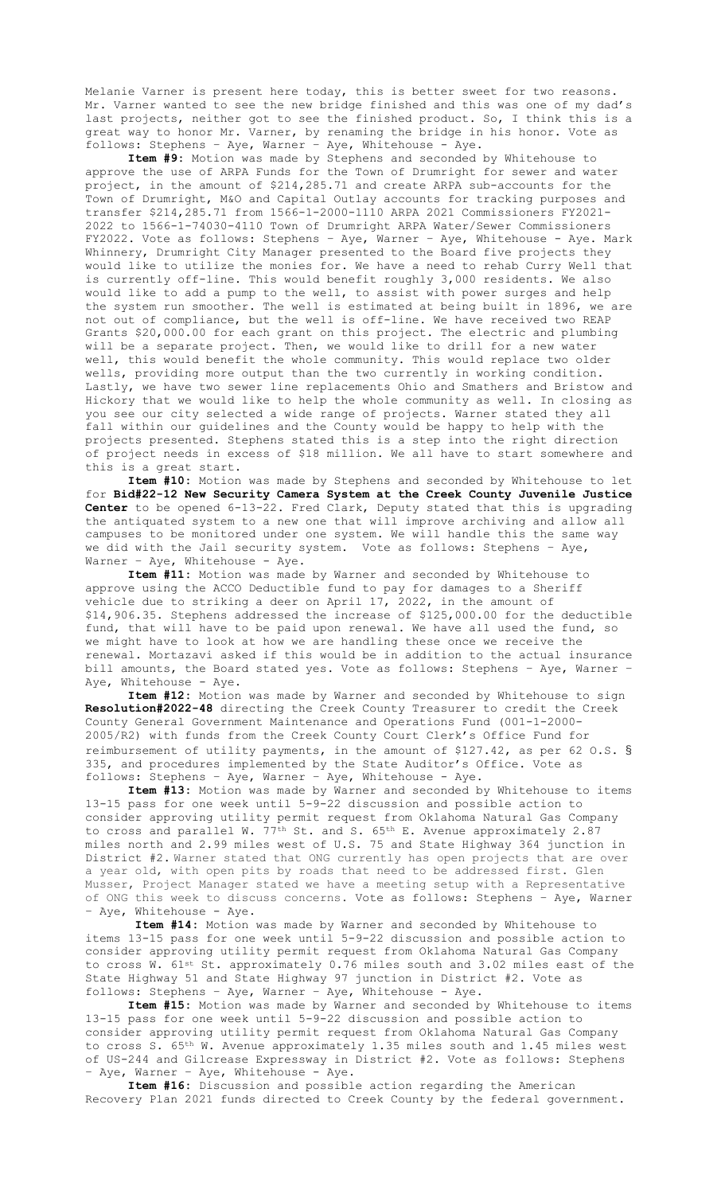Melanie Varner is present here today, this is better sweet for two reasons. Mr. Varner wanted to see the new bridge finished and this was one of my dad's last projects, neither got to see the finished product. So, I think this is a great way to honor Mr. Varner, by renaming the bridge in his honor. Vote as follows: Stephens – Aye, Warner – Aye, Whitehouse - Aye.

**Item #9:** Motion was made by Stephens and seconded by Whitehouse to approve the use of ARPA Funds for the Town of Drumright for sewer and water project, in the amount of \$214,285.71 and create ARPA sub-accounts for the Town of Drumright, M&O and Capital Outlay accounts for tracking purposes and transfer \$214,285.71 from 1566-1-2000-1110 ARPA 2021 Commissioners FY2021- 2022 to 1566-1-74030-4110 Town of Drumright ARPA Water/Sewer Commissioners FY2022. Vote as follows: Stephens – Aye, Warner – Aye, Whitehouse - Aye. Mark Whinnery, Drumright City Manager presented to the Board five projects they would like to utilize the monies for. We have a need to rehab Curry Well that is currently off-line. This would benefit roughly 3,000 residents. We also would like to add a pump to the well, to assist with power surges and help the system run smoother. The well is estimated at being built in 1896, we are not out of compliance, but the well is off-line. We have received two REAP Grants \$20,000.00 for each grant on this project. The electric and plumbing will be a separate project. Then, we would like to drill for a new water well, this would benefit the whole community. This would replace two older wells, providing more output than the two currently in working condition. Lastly, we have two sewer line replacements Ohio and Smathers and Bristow and Hickory that we would like to help the whole community as well. In closing as you see our city selected a wide range of projects. Warner stated they all fall within our guidelines and the County would be happy to help with the projects presented. Stephens stated this is a step into the right direction of project needs in excess of \$18 million. We all have to start somewhere and this is a great start.

**Item #10:** Motion was made by Stephens and seconded by Whitehouse to let for **Bid#22-12 New Security Camera System at the Creek County Juvenile Justice Center** to be opened 6-13-22. Fred Clark, Deputy stated that this is upgrading the antiquated system to a new one that will improve archiving and allow all campuses to be monitored under one system. We will handle this the same way we did with the Jail security system. Vote as follows: Stephens – Aye, Warner - Aye, Whitehouse - Aye.

**Item #11:** Motion was made by Warner and seconded by Whitehouse to approve using the ACCO Deductible fund to pay for damages to a Sheriff vehicle due to striking a deer on April 17, 2022, in the amount of \$14,906.35. Stephens addressed the increase of \$125,000.00 for the deductible fund, that will have to be paid upon renewal. We have all used the fund, so we might have to look at how we are handling these once we receive the renewal. Mortazavi asked if this would be in addition to the actual insurance bill amounts, the Board stated yes. Vote as follows: Stephens – Aye, Warner – Aye, Whitehouse - Aye.

**Item #12:** Motion was made by Warner and seconded by Whitehouse to sign **Resolution#2022-48** directing the Creek County Treasurer to credit the Creek County General Government Maintenance and Operations Fund (001-1-2000- 2005/R2) with funds from the Creek County Court Clerk's Office Fund for reimbursement of utility payments, in the amount of \$127.42, as per 62 O.S. § 335, and procedures implemented by the State Auditor's Office. Vote as follows: Stephens – Aye, Warner – Aye, Whitehouse - Aye.

**Item #13:** Motion was made by Warner and seconded by Whitehouse to items 13-15 pass for one week until 5-9-22 discussion and possible action to consider approving utility permit request from Oklahoma Natural Gas Company to cross and parallel W. 77<sup>th</sup> St. and S. 65<sup>th</sup> E. Avenue approximately 2.87 miles north and 2.99 miles west of U.S. 75 and State Highway 364 junction in District #2. Warner stated that ONG currently has open projects that are over a year old, with open pits by roads that need to be addressed first. Glen Musser, Project Manager stated we have a meeting setup with a Representative of ONG this week to discuss concerns. Vote as follows: Stephens – Aye, Warner - Aye, Whitehouse - Aye.

**Item #14:** Motion was made by Warner and seconded by Whitehouse to items 13-15 pass for one week until 5-9-22 discussion and possible action to consider approving utility permit request from Oklahoma Natural Gas Company to cross W. 61st St. approximately 0.76 miles south and 3.02 miles east of the State Highway 51 and State Highway 97 junction in District #2. Vote as follows: Stephens – Aye, Warner – Aye, Whitehouse - Aye.

**Item #15:** Motion was made by Warner and seconded by Whitehouse to items 13-15 pass for one week until 5-9-22 discussion and possible action to consider approving utility permit request from Oklahoma Natural Gas Company to cross S. 65<sup>th</sup> W. Avenue approximately 1.35 miles south and 1.45 miles west of US-244 and Gilcrease Expressway in District #2. Vote as follows: Stephens - Aye, Warner - Aye, Whitehouse - Aye.

**Item #16:** Discussion and possible action regarding the American Recovery Plan 2021 funds directed to Creek County by the federal government.